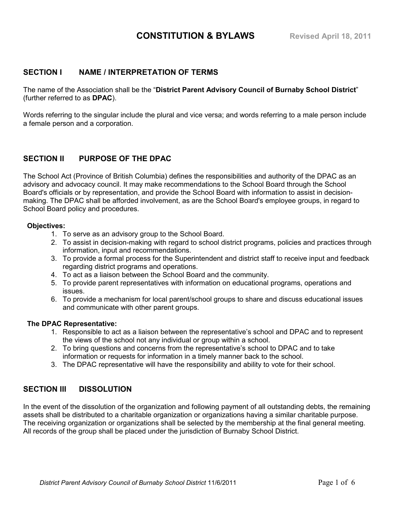### **SECTION I NAME / INTERPRETATION OF TERMS**

The name of the Association shall be the "**District Parent Advisory Council of Burnaby School District**" (further referred to as **DPAC**).

Words referring to the singular include the plural and vice versa; and words referring to a male person include a female person and a corporation.

# **SECTION II PURPOSE OF THE DPAC**

The School Act (Province of British Columbia) defines the responsibilities and authority of the DPAC as an advisory and advocacy council. It may make recommendations to the School Board through the School Board's officials or by representation, and provide the School Board with information to assist in decisionmaking. The DPAC shall be afforded involvement, as are the School Board's employee groups, in regard to School Board policy and procedures.

#### **Objectives:**

- 1. To serve as an advisory group to the School Board.
- 2. To assist in decision-making with regard to school district programs, policies and practices through information, input and recommendations.
- 3. To provide a formal process for the Superintendent and district staff to receive input and feedback regarding district programs and operations.
- 4. To act as a liaison between the School Board and the community.
- 5. To provide parent representatives with information on educational programs, operations and issues.
- 6. To provide a mechanism for local parent/school groups to share and discuss educational issues and communicate with other parent groups.

### **The DPAC Representative:**

- 1. Responsible to act as a liaison between the representative's school and DPAC and to represent the views of the school not any individual or group within a school.
- 2. To bring questions and concerns from the representative's school to DPAC and to take information or requests for information in a timely manner back to the school.
- 3. The DPAC representative will have the responsibility and ability to vote for their school.

## **SECTION III DISSOLUTION**

In the event of the dissolution of the organization and following payment of all outstanding debts, the remaining assets shall be distributed to a charitable organization or organizations having a similar charitable purpose. The receiving organization or organizations shall be selected by the membership at the final general meeting. All records of the group shall be placed under the jurisdiction of Burnaby School District.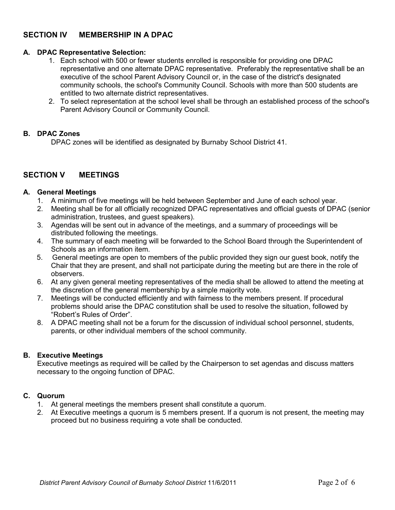# **SECTION IV MEMBERSHIP IN A DPAC**

### **A. DPAC Representative Selection:**

- 1. Each school with 500 or fewer students enrolled is responsible for providing one DPAC representative and one alternate DPAC representative. Preferably the representative shall be an executive of the school Parent Advisory Council or, in the case of the district's designated community schools, the school's Community Council. Schools with more than 500 students are entitled to two alternate district representatives.
- 2. To select representation at the school level shall be through an established process of the school's Parent Advisory Council or Community Council.

#### **B. DPAC Zones**

DPAC zones will be identified as designated by Burnaby School District 41.

# **SECTION V MEETINGS**

#### **A. General Meetings**

- 1. A minimum of five meetings will be held between September and June of each school year.
- 2. Meeting shall be for all officially recognized DPAC representatives and official guests of DPAC (senior administration, trustees, and guest speakers).
- 3. Agendas will be sent out in advance of the meetings, and a summary of proceedings will be distributed following the meetings.
- 4. The summary of each meeting will be forwarded to the School Board through the Superintendent of Schools as an information item.
- 5. General meetings are open to members of the public provided they sign our guest book, notify the Chair that they are present, and shall not participate during the meeting but are there in the role of observers.
- 6. At any given general meeting representatives of the media shall be allowed to attend the meeting at the discretion of the general membership by a simple majority vote.
- 7. Meetings will be conducted efficiently and with fairness to the members present. If procedural problems should arise the DPAC constitution shall be used to resolve the situation, followed by "Robert's Rules of Order".
- 8. A DPAC meeting shall not be a forum for the discussion of individual school personnel, students, parents, or other individual members of the school community.

### **B. Executive Meetings**

Executive meetings as required will be called by the Chairperson to set agendas and discuss matters necessary to the ongoing function of DPAC.

#### **C. Quorum**

- 1. At general meetings the members present shall constitute a quorum.
- 2. At Executive meetings a quorum is 5 members present. If a quorum is not present, the meeting may proceed but no business requiring a vote shall be conducted.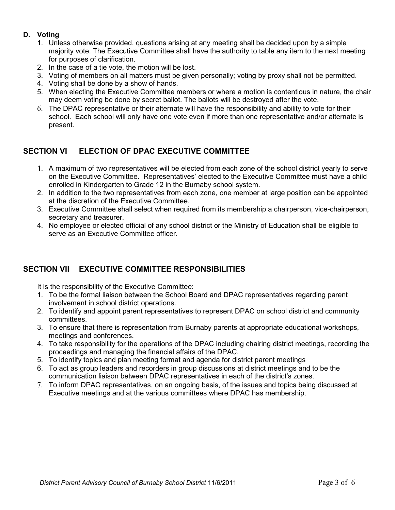## **D. Voting**

- 1. Unless otherwise provided, questions arising at any meeting shall be decided upon by a simple majority vote. The Executive Committee shall have the authority to table any item to the next meeting for purposes of clarification.
- 2. In the case of a tie vote, the motion will be lost.
- 3. Voting of members on all matters must be given personally; voting by proxy shall not be permitted.
- 4. Voting shall be done by a show of hands.
- 5. When electing the Executive Committee members or where a motion is contentious in nature, the chair may deem voting be done by secret ballot. The ballots will be destroyed after the vote.
- 6. The DPAC representative or their alternate will have the responsibility and ability to vote for their school. Each school will only have one vote even if more than one representative and/or alternate is present.

## **SECTION VI ELECTION OF DPAC EXECUTIVE COMMITTEE**

- 1. A maximum of two representatives will be elected from each zone of the school district yearly to serve on the Executive Committee. Representatives' elected to the Executive Committee must have a child enrolled in Kindergarten to Grade 12 in the Burnaby school system.
- 2. In addition to the two representatives from each zone, one member at large position can be appointed at the discretion of the Executive Committee.
- 3. Executive Committee shall select when required from its membership a chairperson, vice-chairperson, secretary and treasurer.
- 4. No employee or elected official of any school district or the Ministry of Education shall be eligible to serve as an Executive Committee officer.

## **SECTION VII EXECUTIVE COMMITTEE RESPONSIBILITIES**

It is the responsibility of the Executive Committee:

- 1. To be the formal liaison between the School Board and DPAC representatives regarding parent involvement in school district operations.
- 2. To identify and appoint parent representatives to represent DPAC on school district and community committees.
- 3. To ensure that there is representation from Burnaby parents at appropriate educational workshops, meetings and conferences.
- 4. To take responsibility for the operations of the DPAC including chairing district meetings, recording the proceedings and managing the financial affairs of the DPAC.
- 5. To identify topics and plan meeting format and agenda for district parent meetings
- 6. To act as group leaders and recorders in group discussions at district meetings and to be the communication liaison between DPAC representatives in each of the district's zones.
- 7. To inform DPAC representatives, on an ongoing basis, of the issues and topics being discussed at Executive meetings and at the various committees where DPAC has membership.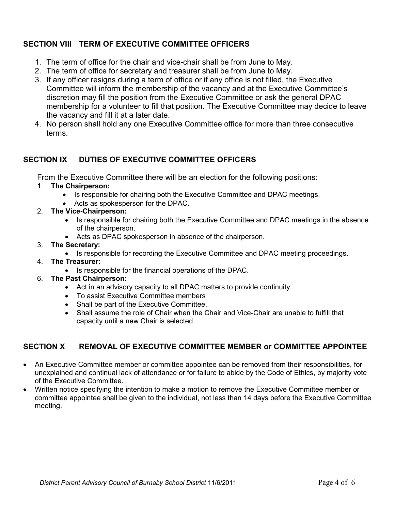# **SECTION VIII TERM OF EXECUTIVE COMMITTEE OFFICERS**

- 1. The term of office for the chair and vice-chair shall be from June to May.
- 2. The term of office for secretary and treasurer shall be from June to May.
- 3. If any officer resigns during a term of office or if any office is not filled, the Executive Committee will inform the membership of the vacancy and at the Executive Committee's discretion may fill the position from the Executive Committee or ask the general DPAC membership for a volunteer to fill that position. The Executive Committee may decide to leave the vacancy and fill it at a later date.
- 4. No person shall hold any one Executive Committee office for more than three consecutive terms.

# **SECTION IX DUTIES OF EXECUTIVE COMMITTEE OFFICERS**

From the Executive Committee there will be an election for the following positions:

### 1. **The Chairperson:**

- Is responsible for chairing both the Executive Committee and DPAC meetings.
- Acts as spokesperson for the DPAC.
- 2. **The Vice-Chairperson:**
	- Is responsible for chairing both the Executive Committee and DPAC meetings in the absence of the chairperson.
	- Acts as DPAC spokesperson in absence of the chairperson.

### 3. **The Secretary:**

- Is responsible for recording the Executive Committee and DPAC meeting proceedings.
- 4. **The Treasurer:**
	- Is responsible for the financial operations of the DPAC.
- 6. **The Past Chairperson:**
	- Act in an advisory capacity to all DPAC matters to provide continuity.
	- To assist Executive Committee members
	- Shall be part of the Executive Committee.
	- Shall assume the role of Chair when the Chair and Vice-Chair are unable to fulfill that capacity until a new Chair is selected.

# **SECTION X REMOVAL OF EXECUTIVE COMMITTEE MEMBER or COMMITTEE APPOINTEE**

- An Executive Committee member or committee appointee can be removed from their responsibilities, for unexplained and continual lack of attendance or for failure to abide by the Code of Ethics, by majority vote of the Executive Committee.
- Written notice specifying the intention to make a motion to remove the Executive Committee member or committee appointee shall be given to the individual, not less than 14 days before the Executive Committee meeting.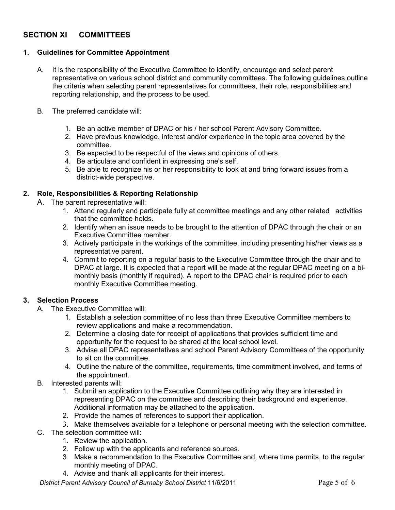# **SECTION XI COMMITTEES**

### **1. Guidelines for Committee Appointment**

- A. It is the responsibility of the Executive Committee to identify, encourage and select parent representative on various school district and community committees. The following guidelines outline the criteria when selecting parent representatives for committees, their role, responsibilities and reporting relationship, and the process to be used.
- B. The preferred candidate will:
	- 1. Be an active member of DPAC or his / her school Parent Advisory Committee.
	- 2. Have previous knowledge, interest and/or experience in the topic area covered by the committee.
	- 3. Be expected to be respectful of the views and opinions of others.
	- 4. Be articulate and confident in expressing one's self.
	- 5. Be able to recognize his or her responsibility to look at and bring forward issues from a district-wide perspective.

### **2. Role, Responsibilities & Reporting Relationship**

- A. The parent representative will:
	- 1. Attend regularly and participate fully at committee meetings and any other related activities that the committee holds.
	- 2. Identify when an issue needs to be brought to the attention of DPAC through the chair or an Executive Committee member.
	- 3. Actively participate in the workings of the committee, including presenting his/her views as a representative parent.
	- 4. Commit to reporting on a regular basis to the Executive Committee through the chair and to DPAC at large. It is expected that a report will be made at the regular DPAC meeting on a bimonthly basis (monthly if required). A report to the DPAC chair is required prior to each monthly Executive Committee meeting.

### **3. Selection Process**

- A. The Executive Committee will:
	- 1. Establish a selection committee of no less than three Executive Committee members to review applications and make a recommendation.
	- 2. Determine a closing date for receipt of applications that provides sufficient time and opportunity for the request to be shared at the local school level.
	- 3. Advise all DPAC representatives and school Parent Advisory Committees of the opportunity to sit on the committee.
	- 4. Outline the nature of the committee, requirements, time commitment involved, and terms of the appointment.
- B. Interested parents will:
	- 1. Submit an application to the Executive Committee outlining why they are interested in representing DPAC on the committee and describing their background and experience. Additional information may be attached to the application.
	- 2. Provide the names of references to support their application.
	- 3. Make themselves available for a telephone or personal meeting with the selection committee.
- C. The selection committee will:
	- 1. Review the application.
	- 2. Follow up with the applicants and reference sources.
	- 3. Make a recommendation to the Executive Committee and, where time permits, to the regular monthly meeting of DPAC.
	- 4. Advise and thank all applicants for their interest.

*District Parent Advisory Council of Burnaby School District* 11/6/2011 Page 5 of 6